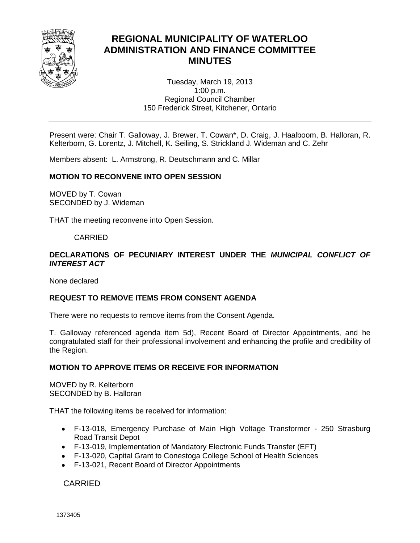

# **REGIONAL MUNICIPALITY OF WATERLOO ADMINISTRATION AND FINANCE COMMITTEE MINUTES**

Tuesday, March 19, 2013 1:00 p.m. Regional Council Chamber 150 Frederick Street, Kitchener, Ontario

Present were: Chair T. Galloway, J. Brewer, T. Cowan\*, D. Craig, J. Haalboom, B. Halloran, R. Kelterborn, G. Lorentz, J. Mitchell, K. Seiling, S. Strickland J. Wideman and C. Zehr

Members absent: L. Armstrong, R. Deutschmann and C. Millar

### **MOTION TO RECONVENE INTO OPEN SESSION**

MOVED by T. Cowan SECONDED by J. Wideman

THAT the meeting reconvene into Open Session.

### CARRIED

### **DECLARATIONS OF PECUNIARY INTEREST UNDER THE** *MUNICIPAL CONFLICT OF INTEREST ACT*

None declared

### **REQUEST TO REMOVE ITEMS FROM CONSENT AGENDA**

There were no requests to remove items from the Consent Agenda.

T. Galloway referenced agenda item 5d), Recent Board of Director Appointments, and he congratulated staff for their professional involvement and enhancing the profile and credibility of the Region.

### **MOTION TO APPROVE ITEMS OR RECEIVE FOR INFORMATION**

MOVED by R. Kelterborn SECONDED by B. Halloran

THAT the following items be received for information:

- F-13-018, Emergency Purchase of Main High Voltage Transformer 250 Strasburg Road Transit Depot
- F-13-019, Implementation of Mandatory Electronic Funds Transfer (EFT)
- F-13-020, Capital Grant to Conestoga College School of Health Sciences
- F-13-021, Recent Board of Director Appointments

CARRIED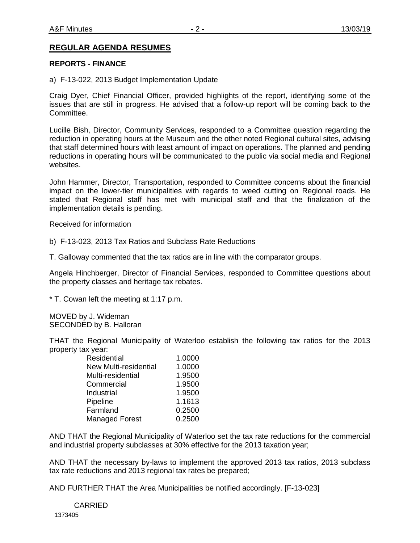### **REGULAR AGENDA RESUMES**

### **REPORTS - FINANCE**

a) F-13-022, 2013 Budget Implementation Update

Craig Dyer, Chief Financial Officer, provided highlights of the report, identifying some of the issues that are still in progress. He advised that a follow-up report will be coming back to the Committee.

Lucille Bish, Director, Community Services, responded to a Committee question regarding the reduction in operating hours at the Museum and the other noted Regional cultural sites, advising that staff determined hours with least amount of impact on operations. The planned and pending reductions in operating hours will be communicated to the public via social media and Regional websites.

John Hammer, Director, Transportation, responded to Committee concerns about the financial impact on the lower-tier municipalities with regards to weed cutting on Regional roads. He stated that Regional staff has met with municipal staff and that the finalization of the implementation details is pending.

Received for information

b) F-13-023, 2013 Tax Ratios and Subclass Rate Reductions

T. Galloway commented that the tax ratios are in line with the comparator groups.

Angela Hinchberger, Director of Financial Services, responded to Committee questions about the property classes and heritage tax rebates.

\* T. Cowan left the meeting at 1:17 p.m.

MOVED by J. Wideman SECONDED by B. Halloran

THAT the Regional Municipality of Waterloo establish the following tax ratios for the 2013 property tax year:

| Residential                  | 1.0000 |
|------------------------------|--------|
| <b>New Multi-residential</b> | 1.0000 |
| Multi-residential            | 1.9500 |
| Commercial                   | 1.9500 |
| Industrial                   | 1.9500 |
| Pipeline                     | 1.1613 |
| Farmland                     | 0.2500 |
| <b>Managed Forest</b>        | 0.2500 |

AND THAT the Regional Municipality of Waterloo set the tax rate reductions for the commercial and industrial property subclasses at 30% effective for the 2013 taxation year;

AND THAT the necessary by-laws to implement the approved 2013 tax ratios, 2013 subclass tax rate reductions and 2013 regional tax rates be prepared;

AND FURTHER THAT the Area Municipalities be notified accordingly. [F-13-023]

 1373405 CARRIED